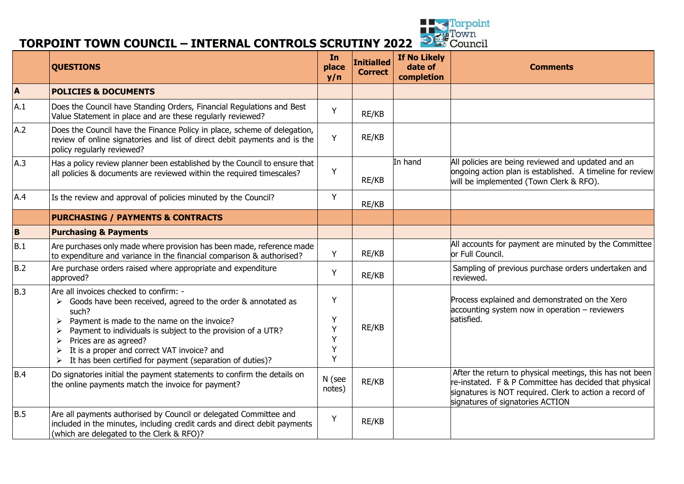

# **TORPOINT TOWN COUNCIL – INTERNAL CONTROLS SCRUTINY 2022** <sup>2 **1 Council 10 <b>P 1 Council 10 P 1 Council 10 P 1 P 1 P 1 P 1 P 1 P 1 P 1 P 1 P 1 P 1 P 1 P 1 </sup>**

|              | <b>QUESTIONS</b>                                                                                                                                                                                                                                                                                                                                                                                                                                         | In<br>place<br>y/n         | <b>Initialled</b><br><b>Correct</b> | <b>If No Likely</b><br>date of<br>completion | <b>Comments</b>                                                                                                                                                                                                   |
|--------------|----------------------------------------------------------------------------------------------------------------------------------------------------------------------------------------------------------------------------------------------------------------------------------------------------------------------------------------------------------------------------------------------------------------------------------------------------------|----------------------------|-------------------------------------|----------------------------------------------|-------------------------------------------------------------------------------------------------------------------------------------------------------------------------------------------------------------------|
| $\mathbf{A}$ | <b>POLICIES &amp; DOCUMENTS</b>                                                                                                                                                                                                                                                                                                                                                                                                                          |                            |                                     |                                              |                                                                                                                                                                                                                   |
| A.1          | Does the Council have Standing Orders, Financial Regulations and Best<br>Value Statement in place and are these regularly reviewed?                                                                                                                                                                                                                                                                                                                      | Y                          | RE/KB                               |                                              |                                                                                                                                                                                                                   |
| A.2          | Does the Council have the Finance Policy in place, scheme of delegation,<br>review of online signatories and list of direct debit payments and is the<br>policy regularly reviewed?                                                                                                                                                                                                                                                                      | Y                          | RE/KB                               |                                              |                                                                                                                                                                                                                   |
| A.3          | Has a policy review planner been established by the Council to ensure that<br>all policies & documents are reviewed within the required timescales?                                                                                                                                                                                                                                                                                                      | Y                          | RE/KB                               | In hand                                      | All policies are being reviewed and updated and an<br>ongoing action plan is established. A timeline for review<br>will be implemented (Town Clerk & RFO).                                                        |
| A.4          | Is the review and approval of policies minuted by the Council?                                                                                                                                                                                                                                                                                                                                                                                           | Y                          | RE/KB                               |                                              |                                                                                                                                                                                                                   |
|              | <b>PURCHASING / PAYMENTS &amp; CONTRACTS</b>                                                                                                                                                                                                                                                                                                                                                                                                             |                            |                                     |                                              |                                                                                                                                                                                                                   |
| B            | <b>Purchasing &amp; Payments</b>                                                                                                                                                                                                                                                                                                                                                                                                                         |                            |                                     |                                              |                                                                                                                                                                                                                   |
| B.1          | Are purchases only made where provision has been made, reference made<br>to expenditure and variance in the financial comparison & authorised?                                                                                                                                                                                                                                                                                                           | Y                          | RE/KB                               |                                              | All accounts for payment are minuted by the Committee<br>or Full Council.                                                                                                                                         |
| B.2          | Are purchase orders raised where appropriate and expenditure<br>approved?                                                                                                                                                                                                                                                                                                                                                                                | Y                          | RE/KB                               |                                              | Sampling of previous purchase orders undertaken and<br>reviewed.                                                                                                                                                  |
| B.3          | Are all invoices checked to confirm: -<br>Goods have been received, agreed to the order & annotated as<br>➤<br>such?<br>Payment is made to the name on the invoice?<br>Payment to individuals is subject to the provision of a UTR?<br>$\blacktriangleright$<br>Prices are as agreed?<br>$\blacktriangleright$<br>It is a proper and correct VAT invoice? and<br>$\blacktriangleright$<br>It has been certified for payment (separation of duties)?<br>➤ | Y<br>Y<br>Y<br>Y<br>Y<br>Y | RE/KB                               |                                              | Process explained and demonstrated on the Xero<br>accounting system now in operation - reviewers<br>satisfied.                                                                                                    |
| <b>B.4</b>   | Do signatories initial the payment statements to confirm the details on<br>the online payments match the invoice for payment?                                                                                                                                                                                                                                                                                                                            | N (see<br>notes)           | RE/KB                               |                                              | After the return to physical meetings, this has not been<br>re-instated. F & P Committee has decided that physical<br>signatures is NOT required. Clerk to action a record of<br>signatures of signatories ACTION |
| <b>B.5</b>   | Are all payments authorised by Council or delegated Committee and<br>included in the minutes, including credit cards and direct debit payments<br>(which are delegated to the Clerk & RFO)?                                                                                                                                                                                                                                                              | Y                          | RE/KB                               |                                              |                                                                                                                                                                                                                   |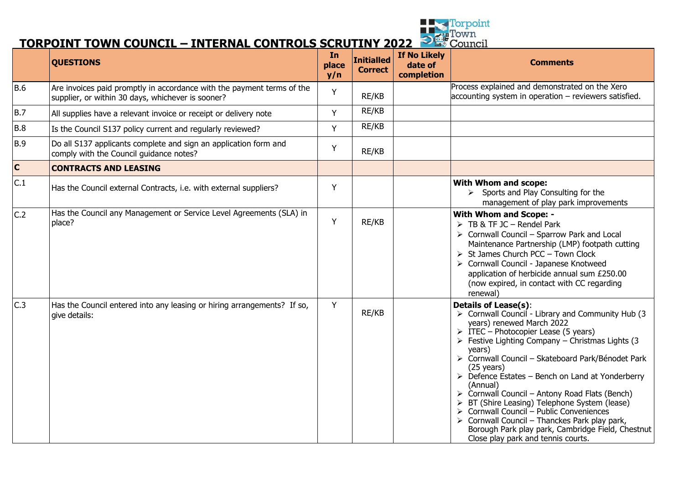

#### **TORPOINT TOWN COUNCIL – INTERNAL CONTROLS SCRUTINY 2022**

|                | <b>QUESTIONS</b>                                                                                                            | In<br>place<br>y/n | Initialled<br><b>Correct</b> | <b>If No Likely</b><br>date of<br>completion | <b>Comments</b>                                                                                                                                                                                                                                                                                                                                                                                                                                                                                                                                                                                                                                                                                                                                         |
|----------------|-----------------------------------------------------------------------------------------------------------------------------|--------------------|------------------------------|----------------------------------------------|---------------------------------------------------------------------------------------------------------------------------------------------------------------------------------------------------------------------------------------------------------------------------------------------------------------------------------------------------------------------------------------------------------------------------------------------------------------------------------------------------------------------------------------------------------------------------------------------------------------------------------------------------------------------------------------------------------------------------------------------------------|
| <b>B.6</b>     | Are invoices paid promptly in accordance with the payment terms of the<br>supplier, or within 30 days, whichever is sooner? | Y                  | RE/KB                        |                                              | Process explained and demonstrated on the Xero<br>$\alpha$ accounting system in operation – reviewers satisfied.                                                                                                                                                                                                                                                                                                                                                                                                                                                                                                                                                                                                                                        |
| <b>B.7</b>     | All supplies have a relevant invoice or receipt or delivery note                                                            | Y                  | RE/KB                        |                                              |                                                                                                                                                                                                                                                                                                                                                                                                                                                                                                                                                                                                                                                                                                                                                         |
| <b>B.8</b>     | Is the Council S137 policy current and regularly reviewed?                                                                  | Y                  | RE/KB                        |                                              |                                                                                                                                                                                                                                                                                                                                                                                                                                                                                                                                                                                                                                                                                                                                                         |
| <b>B.9</b>     | Do all S137 applicants complete and sign an application form and<br>comply with the Council guidance notes?                 | Y                  | RE/KB                        |                                              |                                                                                                                                                                                                                                                                                                                                                                                                                                                                                                                                                                                                                                                                                                                                                         |
| $\overline{c}$ | <b>CONTRACTS AND LEASING</b>                                                                                                |                    |                              |                                              |                                                                                                                                                                                                                                                                                                                                                                                                                                                                                                                                                                                                                                                                                                                                                         |
| C.1            | Has the Council external Contracts, i.e. with external suppliers?                                                           | Y                  |                              |                                              | With Whom and scope:<br>$\triangleright$ Sports and Play Consulting for the<br>management of play park improvements                                                                                                                                                                                                                                                                                                                                                                                                                                                                                                                                                                                                                                     |
| C.2            | Has the Council any Management or Service Level Agreements (SLA) in<br>place?                                               | Y                  | RE/KB                        |                                              | <b>With Whom and Scope: -</b><br>$\triangleright$ TB & TF JC – Rendel Park<br>$\triangleright$ Cornwall Council - Sparrow Park and Local<br>Maintenance Partnership (LMP) footpath cutting<br>$\triangleright$ St James Church PCC - Town Clock<br>> Cornwall Council - Japanese Knotweed<br>application of herbicide annual sum £250.00<br>(now expired, in contact with CC regarding<br>renewal)                                                                                                                                                                                                                                                                                                                                                      |
| C.3            | Has the Council entered into any leasing or hiring arrangements? If so,<br>give details:                                    | Y                  | RE/KB                        |                                              | <b>Details of Lease(s):</b><br>$\triangleright$ Cornwall Council - Library and Community Hub (3)<br>years) renewed March 2022<br>$\triangleright$ ITEC – Photocopier Lease (5 years)<br>$\triangleright$ Festive Lighting Company – Christmas Lights (3)<br>years)<br>> Cornwall Council - Skateboard Park/Bénodet Park<br>$(25 \text{ years})$<br>$\triangleright$ Defence Estates – Bench on Land at Yonderberry<br>(Annual)<br>$\triangleright$ Cornwall Council – Antony Road Flats (Bench)<br>> BT (Shire Leasing) Telephone System (Iease)<br>> Cornwall Council – Public Conveniences<br>$\triangleright$ Cornwall Council – Thanckes Park play park,<br>Borough Park play park, Cambridge Field, Chestnut<br>Close play park and tennis courts. |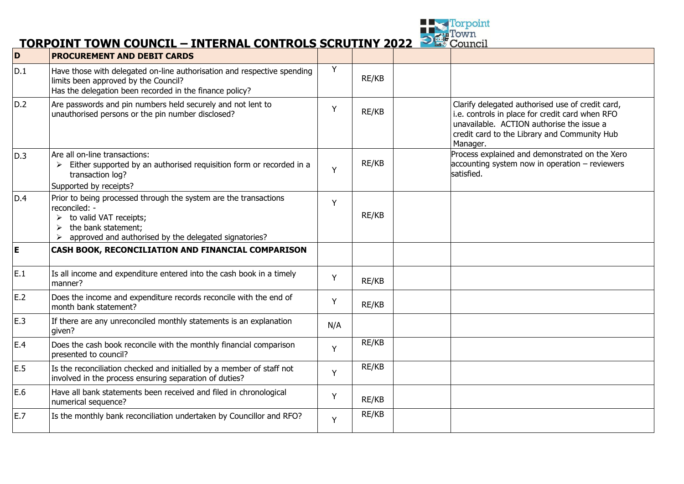

#### **TORPOINT TOWN COUNCIL – INTERNAL CONTROLS SCRUTINY 2022**

| D   | <b>PROCUREMENT AND DEBIT CARDS</b>                                                                                                                                                          |     |       |                                                                                                                                                                                                              |
|-----|---------------------------------------------------------------------------------------------------------------------------------------------------------------------------------------------|-----|-------|--------------------------------------------------------------------------------------------------------------------------------------------------------------------------------------------------------------|
| D.1 | Have those with delegated on-line authorisation and respective spending<br>limits been approved by the Council?<br>Has the delegation been recorded in the finance policy?                  | Y   | RE/KB |                                                                                                                                                                                                              |
| D.2 | Are passwords and pin numbers held securely and not lent to<br>unauthorised persons or the pin number disclosed?                                                                            | Υ   | RE/KB | Clarify delegated authorised use of credit card,<br>i.e. controls in place for credit card when RFO<br>unavailable. ACTION authorise the issue a<br>credit card to the Library and Community Hub<br>Manager. |
| D.3 | Are all on-line transactions:<br>Either supported by an authorised requisition form or recorded in a<br>transaction log?<br>Supported by receipts?                                          | Y   | RE/KB | Process explained and demonstrated on the Xero<br>$\alpha$ accounting system now in operation – reviewers<br>satisfied.                                                                                      |
| D.4 | Prior to being processed through the system are the transactions<br>reconciled: -<br>to valid VAT receipts;<br>the bank statement;<br>approved and authorised by the delegated signatories? | Y   | RE/KB |                                                                                                                                                                                                              |
| E   | CASH BOOK, RECONCILIATION AND FINANCIAL COMPARISON                                                                                                                                          |     |       |                                                                                                                                                                                                              |
| E.1 | Is all income and expenditure entered into the cash book in a timely<br>manner?                                                                                                             | Y   | RE/KB |                                                                                                                                                                                                              |
| E.2 | Does the income and expenditure records reconcile with the end of<br>month bank statement?                                                                                                  | Y   | RE/KB |                                                                                                                                                                                                              |
| E.3 | If there are any unreconciled monthly statements is an explanation<br>given?                                                                                                                | N/A |       |                                                                                                                                                                                                              |
| E.4 | Does the cash book reconcile with the monthly financial comparison<br>presented to council?                                                                                                 | Y   | RE/KB |                                                                                                                                                                                                              |
| E.5 | Is the reconciliation checked and initialled by a member of staff not<br>involved in the process ensuring separation of duties?                                                             | Y   | RE/KB |                                                                                                                                                                                                              |
| E.6 | Have all bank statements been received and filed in chronological<br>numerical sequence?                                                                                                    | Y   | RE/KB |                                                                                                                                                                                                              |
| E.7 | Is the monthly bank reconciliation undertaken by Councillor and RFO?                                                                                                                        | Y   | RE/KB |                                                                                                                                                                                                              |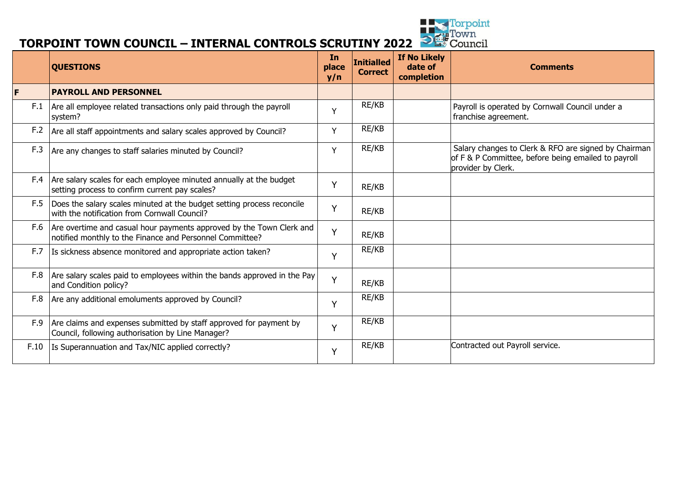

# **TORPOINT TOWN COUNCIL – INTERNAL CONTROLS SCRUTINY 2022** <sup>Depoint</sup><br> **TORPOINT TOWN COUNCIL – INTERNAL CONTROLS SCRUTINY 2022**

|      | <b>QUESTIONS</b>                                                                                                                       | <b>In</b><br>place<br>y/n | <b>Initialled</b><br><b>Correct</b> | <b>If No Likely</b><br>date of<br>completion | <b>Comments</b>                                                                                                                   |
|------|----------------------------------------------------------------------------------------------------------------------------------------|---------------------------|-------------------------------------|----------------------------------------------|-----------------------------------------------------------------------------------------------------------------------------------|
| F    | <b>PAYROLL AND PERSONNEL</b>                                                                                                           |                           |                                     |                                              |                                                                                                                                   |
| F.1  | Are all employee related transactions only paid through the payroll<br>system?                                                         | Y                         | RE/KB                               |                                              | Payroll is operated by Cornwall Council under a<br>franchise agreement.                                                           |
| F.2  | Are all staff appointments and salary scales approved by Council?                                                                      | Y                         | RE/KB                               |                                              |                                                                                                                                   |
| F.3  | Are any changes to staff salaries minuted by Council?                                                                                  | Y                         | RE/KB                               |                                              | Salary changes to Clerk & RFO are signed by Chairman<br>of F & P Committee, before being emailed to payroll<br>provider by Clerk. |
| F.4  | Are salary scales for each employee minuted annually at the budget<br>setting process to confirm current pay scales?                   | Y                         | RE/KB                               |                                              |                                                                                                                                   |
| F.5  | Does the salary scales minuted at the budget setting process reconcile<br>with the notification from Cornwall Council?                 | Y                         | RE/KB                               |                                              |                                                                                                                                   |
|      | F.6   Are overtime and casual hour payments approved by the Town Clerk and<br>notified monthly to the Finance and Personnel Committee? | Y                         | RE/KB                               |                                              |                                                                                                                                   |
| F.7  | Is sickness absence monitored and appropriate action taken?                                                                            | Y                         | RE/KB                               |                                              |                                                                                                                                   |
|      | F.8 $ $ Are salary scales paid to employees within the bands approved in the Pay<br>and Condition policy?                              | Y                         | RE/KB                               |                                              |                                                                                                                                   |
| F.8  | Are any additional emoluments approved by Council?                                                                                     | Y                         | RE/KB                               |                                              |                                                                                                                                   |
| F.9  | Are claims and expenses submitted by staff approved for payment by<br>Council, following authorisation by Line Manager?                | Y                         | RE/KB                               |                                              |                                                                                                                                   |
| F.10 | Is Superannuation and Tax/NIC applied correctly?                                                                                       | Y                         | RE/KB                               |                                              | Contracted out Payroll service.                                                                                                   |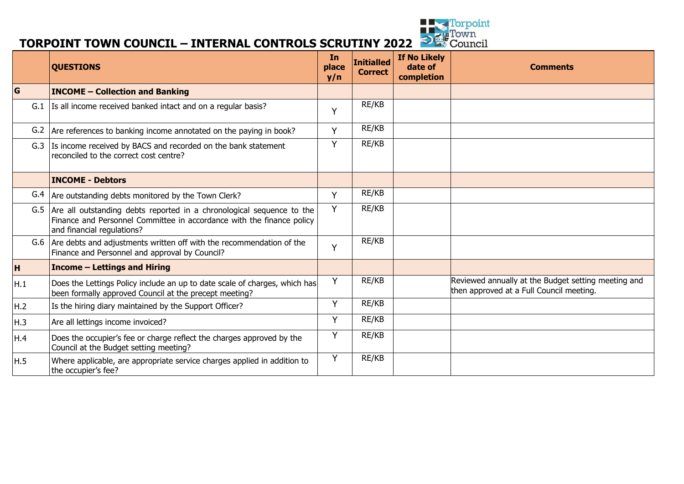

# **TORPOINT TOWN COUNCIL – INTERNAL CONTROLS SCRUTINY 2022** <sup>Depoint</sup><br> **TORPOINT TOWN COUNCIL – INTERNAL CONTROLS SCRUTINY 2022**

|     | <b>QUESTIONS</b>                                                                                                                                                                 |   | <b>Initialled</b><br><b>Correct</b> | If No Likely<br>date of<br>completion | <b>Comments</b>                                                                                 |
|-----|----------------------------------------------------------------------------------------------------------------------------------------------------------------------------------|---|-------------------------------------|---------------------------------------|-------------------------------------------------------------------------------------------------|
| G   | <b>INCOME - Collection and Banking</b>                                                                                                                                           |   |                                     |                                       |                                                                                                 |
| G.1 | Is all income received banked intact and on a regular basis?                                                                                                                     | Y | RE/KB                               |                                       |                                                                                                 |
| G.2 | Are references to banking income annotated on the paying in book?                                                                                                                | Y | RE/KB                               |                                       |                                                                                                 |
|     | G.3 Is income received by BACS and recorded on the bank statement<br>reconciled to the correct cost centre?                                                                      |   | RE/KB                               |                                       |                                                                                                 |
|     | <b>INCOME - Debtors</b>                                                                                                                                                          |   |                                     |                                       |                                                                                                 |
|     | G.4   Are outstanding debts monitored by the Town Clerk?                                                                                                                         | Y | RE/KB                               |                                       |                                                                                                 |
|     | G.5 Are all outstanding debts reported in a chronological sequence to the<br>Finance and Personnel Committee in accordance with the finance policy<br>and financial regulations? | Y | RE/KB                               |                                       |                                                                                                 |
|     | G.6 Are debts and adjustments written off with the recommendation of the<br>Finance and Personnel and approval by Council?                                                       | Y | RE/KB                               |                                       |                                                                                                 |
| H   | <b>Income – Lettings and Hiring</b>                                                                                                                                              |   |                                     |                                       |                                                                                                 |
| H.1 | Does the Lettings Policy include an up to date scale of charges, which has<br>been formally approved Council at the precept meeting?                                             | Y | RE/KB                               |                                       | Reviewed annually at the Budget setting meeting and<br>then approved at a Full Council meeting. |
| H.2 | Is the hiring diary maintained by the Support Officer?                                                                                                                           | Y | RE/KB                               |                                       |                                                                                                 |
| H.3 | Are all lettings income invoiced?                                                                                                                                                | Y | RE/KB                               |                                       |                                                                                                 |
| H.4 | Does the occupier's fee or charge reflect the charges approved by the<br>Council at the Budget setting meeting?                                                                  | Y | RE/KB                               |                                       |                                                                                                 |
| H.5 | Where applicable, are appropriate service charges applied in addition to<br>the occupier's fee?                                                                                  | Y | RE/KB                               |                                       |                                                                                                 |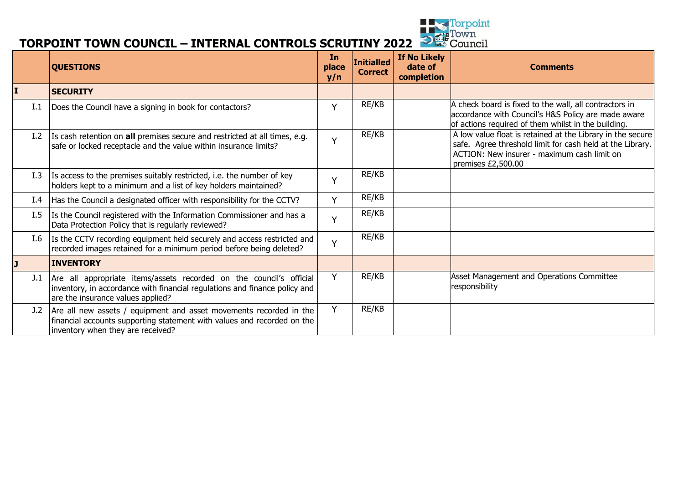

# **TORPOINT TOWN COUNCIL – INTERNAL CONTROLS SCRUTINY 2022** <sup>Depoint</sup><br> **TORPOINT TOWN COUNCIL – INTERNAL CONTROLS SCRUTINY 2022**

|              | <b>QUESTIONS</b>                                                                                                                                                                       | In<br>place<br>y/n | <b>Initialled</b><br><b>Correct</b> | If No Likely<br>date of<br>completion | <b>Comments</b>                                                                                                                                                                              |
|--------------|----------------------------------------------------------------------------------------------------------------------------------------------------------------------------------------|--------------------|-------------------------------------|---------------------------------------|----------------------------------------------------------------------------------------------------------------------------------------------------------------------------------------------|
| I            | <b>SECURITY</b>                                                                                                                                                                        |                    |                                     |                                       |                                                                                                                                                                                              |
| I.1          | Does the Council have a signing in book for contactors?                                                                                                                                | Υ                  | RE/KB                               |                                       | A check board is fixed to the wall, all contractors in<br>accordance with Council's H&S Policy are made aware<br>of actions required of them whilst in the building.                         |
| I.2          | Is cash retention on all premises secure and restricted at all times, e.g.<br>safe or locked receptacle and the value within insurance limits?                                         | $\vee$             | RE/KB                               |                                       | A low value float is retained at the Library in the secure<br>safe. Agree threshold limit for cash held at the Library.<br>ACTION: New insurer - maximum cash limit on<br>premises £2,500.00 |
| I.3          | Is access to the premises suitably restricted, i.e. the number of key<br>holders kept to a minimum and a list of key holders maintained?                                               |                    | RE/KB                               |                                       |                                                                                                                                                                                              |
| I.4          | Has the Council a designated officer with responsibility for the CCTV?                                                                                                                 | v                  | RE/KB                               |                                       |                                                                                                                                                                                              |
| I.5          | Is the Council registered with the Information Commissioner and has a<br>Data Protection Policy that is regularly reviewed?                                                            | $\checkmark$       | RE/KB                               |                                       |                                                                                                                                                                                              |
| I.6          | Is the CCTV recording equipment held securely and access restricted and<br>recorded images retained for a minimum period before being deleted?                                         | $\vee$             | RE/KB                               |                                       |                                                                                                                                                                                              |
| $\mathbf{J}$ | <b>INVENTORY</b>                                                                                                                                                                       |                    |                                     |                                       |                                                                                                                                                                                              |
| J.1          | Are all appropriate items/assets recorded on the council's official<br>inventory, in accordance with financial regulations and finance policy and<br>are the insurance values applied? | Υ                  | RE/KB                               |                                       | Asset Management and Operations Committee<br>responsibility                                                                                                                                  |
| J.2          | Are all new assets / equipment and asset movements recorded in the<br>financial accounts supporting statement with values and recorded on the<br>inventory when they are received?     | Y                  | RE/KB                               |                                       |                                                                                                                                                                                              |